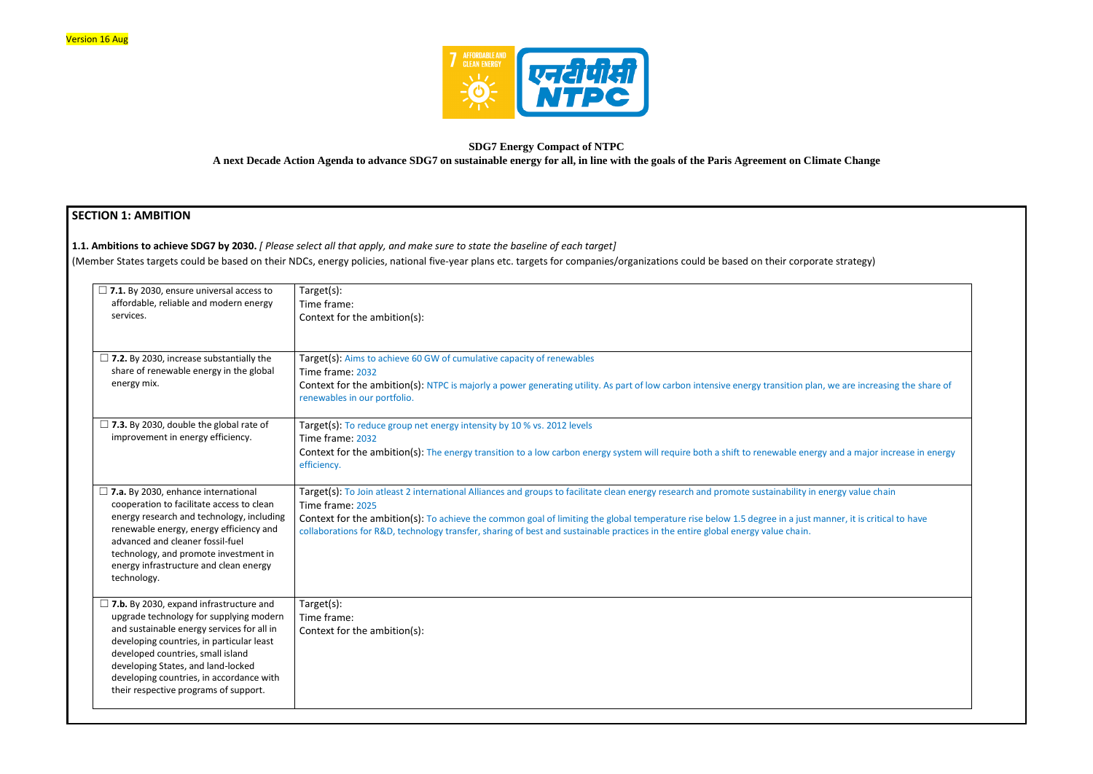

## **SDG7 Energy Compact of NTPC A next Decade Action Agenda to advance SDG7 on sustainable energy for all, in line with the goals of the Paris Agreement on Climate Change**

# **SECTION 1: AMBITION**

**1.1. Ambitions to achieve SDG7 by 2030.** *[ Please select all that apply, and make sure to state the baseline of each target]* 

(Member States targets could be based on their NDCs, energy policies, national five-year plans etc. targets for companies/organizations could be based on their corporat

| $\Box$ 7.1. By 2030, ensure universal access to<br>affordable, reliable and modern energy<br>services.                                                                                                                                                                                                                                               | Target(s):<br>Time frame:<br>Context for the ambition(s):                                                                                                                                                                                                                                                                                                                                                                                                                |
|------------------------------------------------------------------------------------------------------------------------------------------------------------------------------------------------------------------------------------------------------------------------------------------------------------------------------------------------------|--------------------------------------------------------------------------------------------------------------------------------------------------------------------------------------------------------------------------------------------------------------------------------------------------------------------------------------------------------------------------------------------------------------------------------------------------------------------------|
| $\Box$ 7.2. By 2030, increase substantially the<br>share of renewable energy in the global<br>energy mix.                                                                                                                                                                                                                                            | Target(s): Aims to achieve 60 GW of cumulative capacity of renewables<br>Time frame: 2032<br>Context for the ambition(s): NTPC is majorly a power generating utility. As part of low carbon intensive energy transition plan, we are increasing the share of<br>renewables in our portfolio.                                                                                                                                                                             |
| $\Box$ 7.3. By 2030, double the global rate of<br>improvement in energy efficiency.                                                                                                                                                                                                                                                                  | Target(s): To reduce group net energy intensity by 10 % vs. 2012 levels<br>Time frame: 2032<br>Context for the ambition(s): The energy transition to a low carbon energy system will require both a shift to renewable energy and a major increase in energy<br>efficiency.                                                                                                                                                                                              |
| $\Box$ 7.a. By 2030, enhance international<br>cooperation to facilitate access to clean<br>energy research and technology, including<br>renewable energy, energy efficiency and<br>advanced and cleaner fossil-fuel<br>technology, and promote investment in<br>energy infrastructure and clean energy<br>technology.                                | Target(s): To Join atleast 2 international Alliances and groups to facilitate clean energy research and promote sustainability in energy value chain<br>Time frame: 2025<br>Context for the ambition(s): To achieve the common goal of limiting the global temperature rise below 1.5 degree in a just manner, it is critical to have<br>collaborations for R&D, technology transfer, sharing of best and sustainable practices in the entire global energy value chain. |
| $\Box$ 7.b. By 2030, expand infrastructure and<br>upgrade technology for supplying modern<br>and sustainable energy services for all in<br>developing countries, in particular least<br>developed countries, small island<br>developing States, and land-locked<br>developing countries, in accordance with<br>their respective programs of support. | Target(s):<br>Time frame:<br>Context for the ambition(s):                                                                                                                                                                                                                                                                                                                                                                                                                |

| te strategy)                   |  |
|--------------------------------|--|
|                                |  |
|                                |  |
|                                |  |
| we are increasing the share of |  |
|                                |  |
| and a major increase in energy |  |
| nergy value chain              |  |
| nner, it is critical to have   |  |
|                                |  |
|                                |  |
|                                |  |
|                                |  |
|                                |  |
|                                |  |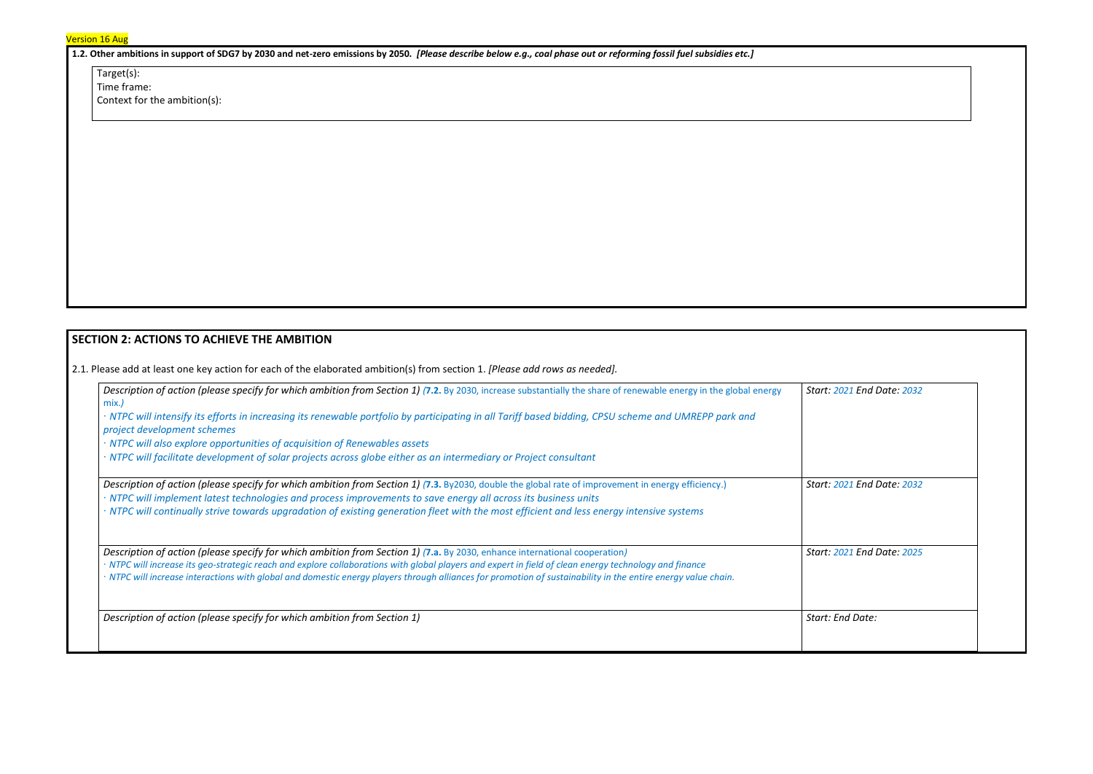Target(s): Time frame: Context for the ambition(s):

**1.2. Other ambitions in support of SDG7 by 2030 and net-zero emissions by 2050.** *[Please describe below e.g., coal phase out or reforming fossil fuel subsidies etc.]*

# **SECTION 2: ACTIONS TO ACHIEVE THE AMBITION**

2.1. Please add at least one key action for each of the elaborated ambition(s) from section 1. *[Please add rows as needed].*

| Description of action (please specify for which ambition from Section 1) (7.2. By 2030, increase substantially the share of renewable energy in the global energy<br>mix.)                                                                                                                                              |                  |
|-------------------------------------------------------------------------------------------------------------------------------------------------------------------------------------------------------------------------------------------------------------------------------------------------------------------------|------------------|
| · NTPC will intensify its efforts in increasing its renewable portfolio by participating in all Tariff based bidding, CPSU scheme and UMREPP park and<br>project development schemes                                                                                                                                    |                  |
| · NTPC will also explore opportunities of acquisition of Renewables assets                                                                                                                                                                                                                                              |                  |
| · NTPC will facilitate development of solar projects across globe either as an intermediary or Project consultant                                                                                                                                                                                                       |                  |
| Description of action (please specify for which ambition from Section 1) (7.3. By2030, double the global rate of improvement in energy efficiency.)<br>· NTPC will implement latest technologies and process improvements to save energy all across its business units                                                  | Start: 2021 End  |
| · NTPC will continually strive towards upgradation of existing generation fleet with the most efficient and less energy intensive systems                                                                                                                                                                               |                  |
| Description of action (please specify for which ambition from Section 1) (7.a. By 2030, enhance international cooperation)                                                                                                                                                                                              | Start: 2021 End  |
| · NTPC will increase its geo-strategic reach and explore collaborations with global players and expert in field of clean energy technology and finance<br>· NTPC will increase interactions with global and domestic energy players through alliances for promotion of sustainability in the entire energy value chain. |                  |
| Description of action (please specify for which ambition from Section 1)                                                                                                                                                                                                                                                | Start: End Date: |
|                                                                                                                                                                                                                                                                                                                         |                  |
|                                                                                                                                                                                                                                                                                                                         |                  |

| Start: 2021 End Date: 2032 |  |
|----------------------------|--|
|                            |  |
| Start: 2021 End Date: 2032 |  |
| Start: 2021 End Date: 2025 |  |
| Start: End Date:           |  |
|                            |  |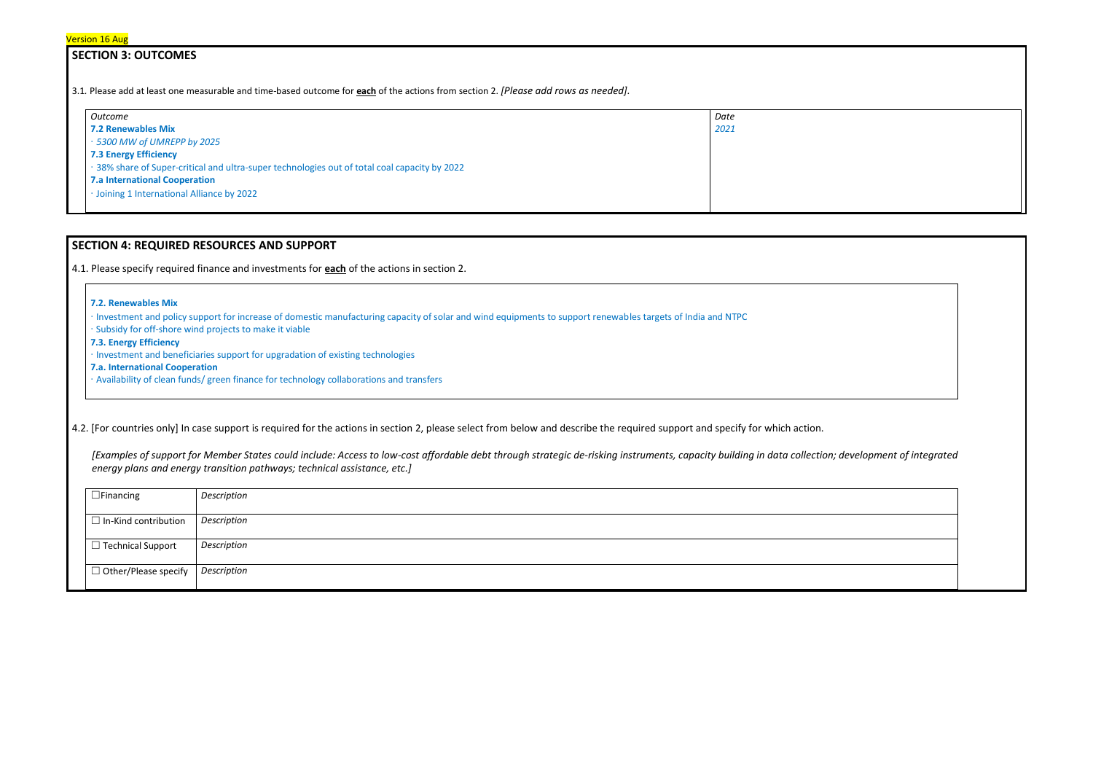## **SECTION 3: OUTCOMES**

3.1*.* Please add at least one measurable and time-based outcome for **each** of the actions from section 2. *[Please add rows as needed].*

| Outcome                                                                                       | Date |
|-----------------------------------------------------------------------------------------------|------|
| <b>7.2 Renewables Mix</b>                                                                     | 2021 |
| 5300 MW of UMREPP by 2025                                                                     |      |
| <b>7.3 Energy Efficiency</b>                                                                  |      |
| · 38% share of Super-critical and ultra-super technologies out of total coal capacity by 2022 |      |
| <b>7.a International Cooperation</b>                                                          |      |
| · Joining 1 International Alliance by 2022                                                    |      |

# **SECTION 4: REQUIRED RESOURCES AND SUPPORT**

4.1. Please specify required finance and investments for **each** of the actions in section 2.

#### **7.2. Renewables Mix**

∙ Investment and policy support for increase of domestic manufacturing capacity of solar and wind equipments to support renewables targets of India and NTPC

∙ Subsidy for off-shore wind projects to make it viable

**7.3. Energy Efficiency**

∙ Investment and beneficiaries support for upgradation of existing technologies

**7.a. International Cooperation**

∙ Availability of clean funds/ green finance for technology collaborations and transfers

4.2. [For countries only] In case support is required for the actions in section 2, please select from below and describe the required support and specify for which action.

*[Examples of support for Member States could include: Access to low-cost affordable debt through strategic de-risking instruments, capacity building in data collection; development of integrated energy plans and energy transition pathways; technical assistance, etc.]*

| $\Box$ Financing            | Description |
|-----------------------------|-------------|
| $\Box$ In-Kind contribution | Description |
| $\Box$ Technical Support    | Description |
| $\Box$ Other/Please specify | Description |

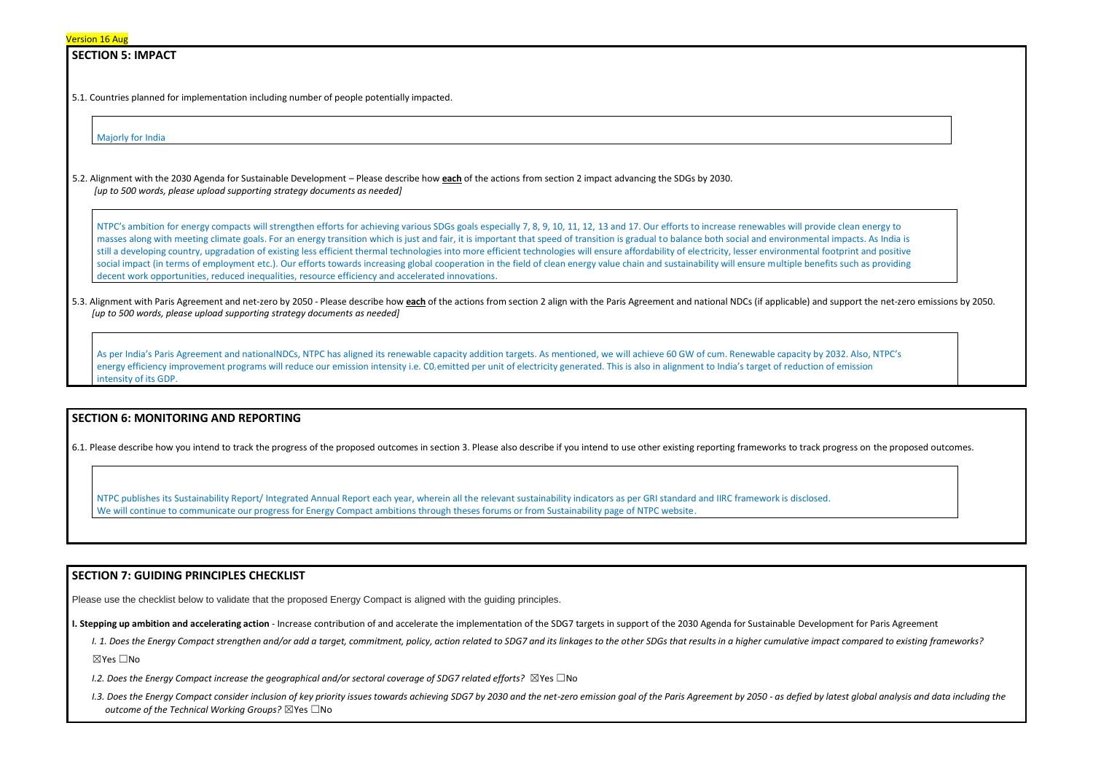## **SECTION 5: IMPACT**

5.1. Countries planned for implementation including number of people potentially impacted.

Majorly for India

5.2. Alignment with the 2030 Agenda for Sustainable Development – Please describe how **each** of the actions from section 2 impact advancing the SDGs by 2030. *[up to 500 words, please upload supporting strategy documents as needed]* 

NTPC's ambition for energy compacts will strengthen efforts for achieving various SDGs goals especially 7, 8, 9, 10, 11, 12, 13 and 17. Our efforts to increase renewables will provide clean energy to masses along with meeting climate goals. For an energy transition which is just and fair, it is important that speed of transition is gradual to balance both social and environmental impacts. As India is still a developing country, upgradation of existing less efficient thermal technologies into more efficient technologies will ensure affordability of electricity, lesser environmental footprint and positive social impact (in terms of employment etc.). Our efforts towards increasing global cooperation in the field of clean energy value chain and sustainability will ensure multiple benefits such as providing decent work opportunities, reduced inequalities, resource efficiency and accelerated innovations.

5.3. Alignment with Paris Agreement and net-zero by 2050 - Please describe how each of the actions from section 2 align with the Paris Agreement and national NDCs (if applicable) and support the net-zero emissions by 2050. *[up to 500 words, please upload supporting strategy documents as needed]* 

As per India's Paris Agreement and nationalNDCs, NTPC has aligned its renewable capacity addition targets. As mentioned, we will achieve 60 GW of cum. Renewable capacity by 2032. Also, NTPC's energy efficiency improvement programs will reduce our emission intensity i.e. CO<sub>2</sub> emitted per unit of electricity generated. This is also in alignment to India's target of reduction of emission intensity of its GDP.

- I. 1. Does the Energy Compact strengthen and/or add a target, commitment, policy, action related to SDG7 and its linkages to the other SDGs that results in a higher cumulative impact compared to existing frameworks? ☒Yes ☐No
- *I.2. Does the Energy Compact increase the geographical and/or sectoral coverage of SDG7 related efforts?* ⊠Yes □No
- I.3. Does the Energy Compact consider inclusion of key priority issues towards achieving SDG7 by 2030 and the net-zero emission goal of the Paris Agreement by 2050 as defied by latest global analysis and data including t *outcome of the Technical Working Groups?* ☒Yes ☐No



## **SECTION 6: MONITORING AND REPORTING**

6.1. Please describe how you intend to track the progress of the proposed outcomes in section 3. Please also describe if you intend to use other existing reporting frameworks to track progress on the proposed outcomes.

NTPC publishes its Sustainability Report/ Integrated Annual Report each year, wherein all the relevant sustainability indicators as per GRI standard and IIRC framework is disclosed. We will continue to communicate our progress for Energy Compact ambitions through theses forums or from Sustainability page of NTPC website.

### **SECTION 7: GUIDING PRINCIPLES CHECKLIST**

Please use the checklist below to validate that the proposed Energy Compact is aligned with the guiding principles.

**I. Stepping up ambition and accelerating action** - Increase contribution of and accelerate the implementation of the SDG7 targets in support of the 2030 Agenda for Sustainable Development for Paris Agreement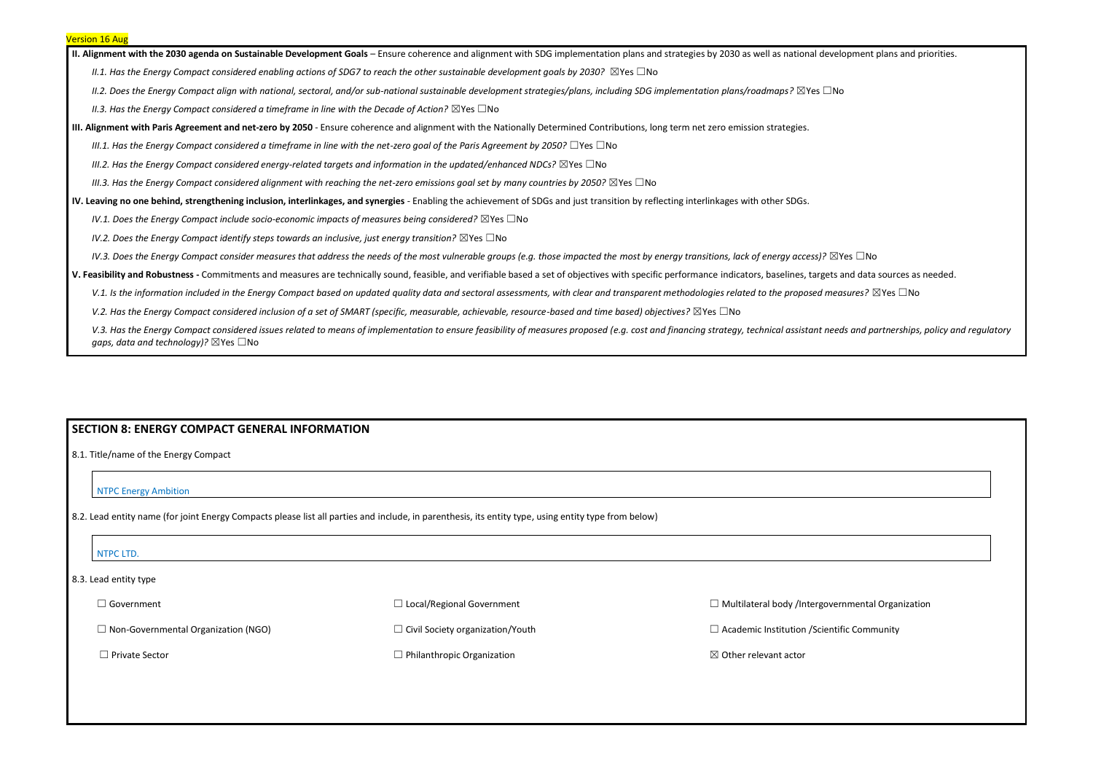**II. Alignment with the 2030 agenda on Sustainable Development Goals** – Ensure coherence and alignment with SDG implementation plans and strategies by 2030 as well as national development plans and priorities.

*II.1. Has the Energy Compact considered enabling actions of SDG7 to reach the other sustainable development goals by 2030?* ⊠Yes □No

*II.2. Does the Energy Compact align with national, sectoral, and/or sub-national sustainable development strategies/plans, including SDG implementation plans/roadmaps?* ☒Yes ☐No

*II.3. Has the Energy Compact considered a timeframe in line with the Decade of Action?* ⊠Yes □No

**III. Alignment with Paris Agreement and net-zero by 2050** - Ensure coherence and alignment with the Nationally Determined Contributions, long term net zero emission strategies.

*III.1. Has the Energy Compact considered a timeframe in line with the net-zero goal of the Paris Agreement by 2050?* □Yes □No

*III.2. Has the Energy Compact considered energy-related targets and information in the updated/enhanced NDCs?* ⊠Yes □No

*III.3. Has the Energy Compact considered alignment with reaching the net-zero emissions goal set by many countries by 2050?* ⊠Yes □No

**IV. Leaving no one behind, strengthening inclusion, interlinkages, and synergies** - Enabling the achievement of SDGs and just transition by reflecting interlinkages with other SDGs.

*IV.1. Does the Energy Compact include socio-economic impacts of measures being considered?* ⊠Yes □No

*IV.2. Does the Energy Compact identify steps towards an inclusive, just energy transition?* ⊠Yes □No

*IV.3. Does the Energy Compact consider measures that address the needs of the most vulnerable groups (e.g. those impacted the most by energy transitions, lack of energy access)?* ⊠Yes □No

8.3. Lead entity type ☐ Government  $\Box$  Non-Governmental Organization (NGO) ☐ Private Sector ☐ Local/Regional Government  $\Box$  Civil Society organization/Youth  $\Box$  Philanthropic Organization  $\Box$  Multilateral body /Intergov  $\Box$  Academic Institution / Scientific Community Community  $\boxtimes$  Other relevant actor

| vernmental Organization |  |
|-------------------------|--|
| ntific Community        |  |
|                         |  |
|                         |  |
|                         |  |
|                         |  |

**V. Feasibility and Robustness -** Commitments and measures are technically sound, feasible, and verifiable based a set of objectives with specific performance indicators, baselines, targets and data sources as needed.

V.1. Is the information included in the Energy Compact based on updated quality data and sectoral assessments, with clear and transparent methodologies related to the proposed measures? ⊠Yes □No

*V.2. Has the Energy Compact considered inclusion of a set of SMART (specific, measurable, achievable, resource-based and time based) objectives?* ⊠Yes □No

V.3. Has the Energy Compact considered issues related to means of implementation to ensure feasibility of measures proposed (e.g. cost and financing strategy, technical assistant needs and partnerships, policy and regulato *gaps, data and technology*)? ⊠Yes □No

## **SECTION 8: ENERGY COMPACT GENERAL INFORMATION**

### 8.1. Title/name of the Energy Compact

### NTPC Energy Ambition

8.2. Lead entity name (for joint Energy Compacts please list all parties and include, in parenthesis, its entity type, using entity type from below)

### NTPC LTD.